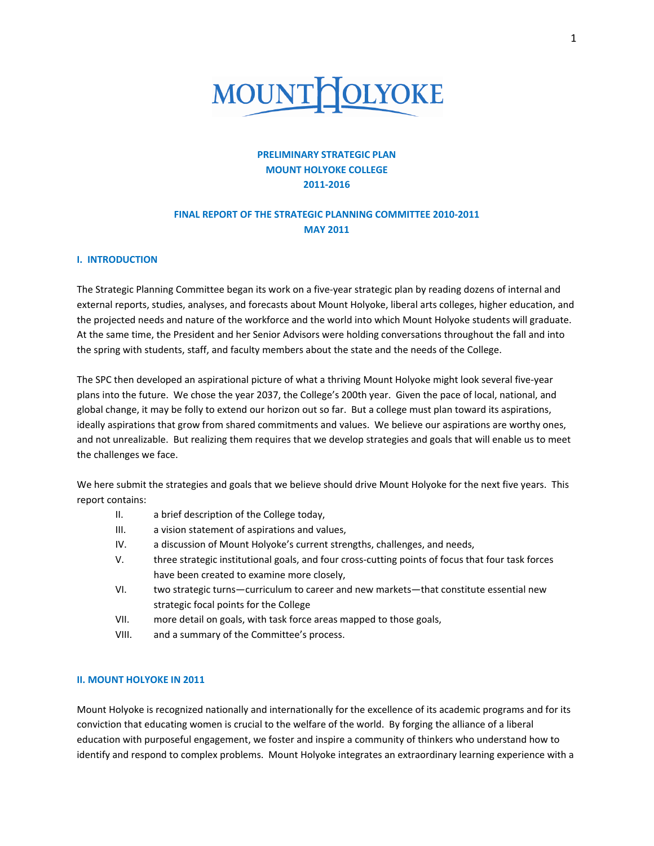

# **PRELIMINARY STRATEGIC PLAN MOUNT HOLYOKE COLLEGE 2011‐2016**

# **FINAL REPORT OF THE STRATEGIC PLANNING COMMITTEE 2010‐2011 MAY 2011**

### **I. INTRODUCTION**

The Strategic Planning Committee began its work on a five-year strategic plan by reading dozens of internal and external reports, studies, analyses, and forecasts about Mount Holyoke, liberal arts colleges, higher education, and the projected needs and nature of the workforce and the world into which Mount Holyoke students will graduate. At the same time, the President and her Senior Advisors were holding conversations throughout the fall and into the spring with students, staff, and faculty members about the state and the needs of the College.

The SPC then developed an aspirational picture of what a thriving Mount Holyoke might look several five‐year plans into the future. We chose the year 2037, the College's 200th year. Given the pace of local, national, and global change, it may be folly to extend our horizon out so far. But a college must plan toward its aspirations, ideally aspirations that grow from shared commitments and values. We believe our aspirations are worthy ones, and not unrealizable. But realizing them requires that we develop strategies and goals that will enable us to meet the challenges we face.

We here submit the strategies and goals that we believe should drive Mount Holyoke for the next five years. This report contains:

- II. a brief description of the College today,
- III. a vision statement of aspirations and values,
- IV. a discussion of Mount Holyoke's current strengths, challenges, and needs,
- V. three strategic institutional goals, and four cross‐cutting points of focus that four task forces have been created to examine more closely,
- VI. two strategic turns—curriculum to career and new markets—that constitute essential new strategic focal points for the College
- VII. more detail on goals, with task force areas mapped to those goals,
- VIII. and a summary of the Committee's process.

### **II. MOUNT HOLYOKE IN 2011**

Mount Holyoke is recognized nationally and internationally for the excellence of its academic programs and for its conviction that educating women is crucial to the welfare of the world. By forging the alliance of a liberal education with purposeful engagement, we foster and inspire a community of thinkers who understand how to identify and respond to complex problems. Mount Holyoke integrates an extraordinary learning experience with a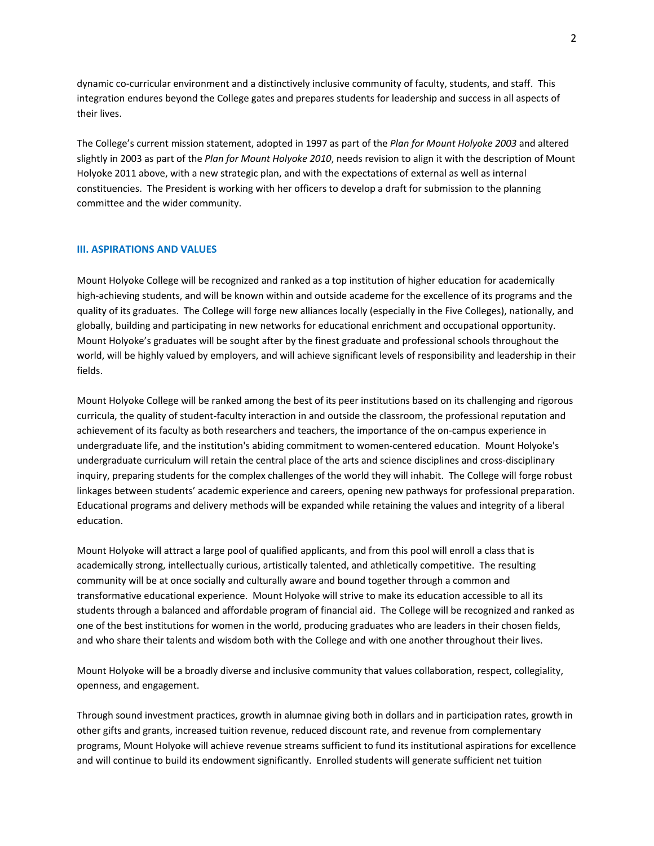dynamic co‐curricular environment and a distinctively inclusive community of faculty, students, and staff. This integration endures beyond the College gates and prepares students for leadership and success in all aspects of their lives.

The College's current mission statement, adopted in 1997 as part of the *Plan for Mount Holyoke 2003* and altered slightly in 2003 as part of the *Plan for Mount Holyoke 2010*, needs revision to align it with the description of Mount Holyoke 2011 above, with a new strategic plan, and with the expectations of external as well as internal constituencies. The President is working with her officers to develop a draft for submission to the planning committee and the wider community.

### **III. ASPIRATIONS AND VALUES**

Mount Holyoke College will be recognized and ranked as a top institution of higher education for academically high-achieving students, and will be known within and outside academe for the excellence of its programs and the quality of its graduates. The College will forge new alliances locally (especially in the Five Colleges), nationally, and globally, building and participating in new networks for educational enrichment and occupational opportunity. Mount Holyoke's graduates will be sought after by the finest graduate and professional schools throughout the world, will be highly valued by employers, and will achieve significant levels of responsibility and leadership in their fields.

Mount Holyoke College will be ranked among the best of its peer institutions based on its challenging and rigorous curricula, the quality of student‐faculty interaction in and outside the classroom, the professional reputation and achievement of its faculty as both researchers and teachers, the importance of the on‐campus experience in undergraduate life, and the institution's abiding commitment to women‐centered education. Mount Holyoke's undergraduate curriculum will retain the central place of the arts and science disciplines and cross‐disciplinary inquiry, preparing students for the complex challenges of the world they will inhabit. The College will forge robust linkages between students' academic experience and careers, opening new pathways for professional preparation. Educational programs and delivery methods will be expanded while retaining the values and integrity of a liberal education.

Mount Holyoke will attract a large pool of qualified applicants, and from this pool will enroll a class that is academically strong, intellectually curious, artistically talented, and athletically competitive. The resulting community will be at once socially and culturally aware and bound together through a common and transformative educational experience. Mount Holyoke will strive to make its education accessible to all its students through a balanced and affordable program of financial aid. The College will be recognized and ranked as one of the best institutions for women in the world, producing graduates who are leaders in their chosen fields, and who share their talents and wisdom both with the College and with one another throughout their lives.

Mount Holyoke will be a broadly diverse and inclusive community that values collaboration, respect, collegiality, openness, and engagement.

Through sound investment practices, growth in alumnae giving both in dollars and in participation rates, growth in other gifts and grants, increased tuition revenue, reduced discount rate, and revenue from complementary programs, Mount Holyoke will achieve revenue streams sufficient to fund its institutional aspirations for excellence and will continue to build its endowment significantly. Enrolled students will generate sufficient net tuition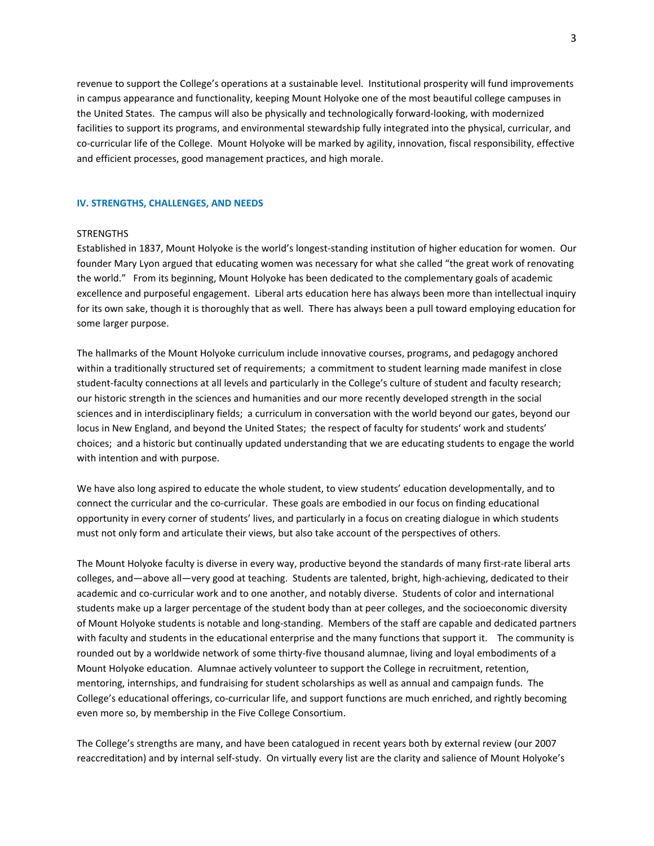revenue to support the College's operations at a sustainable level. Institutional prosperity will fund improvements in campus appearance and functionality, keeping Mount Holyoke one of the most beautiful college campuses in the United States. The campus will also be physically and technologically forward‐looking, with modernized facilities to support its programs, and environmental stewardship fully integrated into the physical, curricular, and co-curricular life of the College. Mount Holyoke will be marked by agility, innovation, fiscal responsibility, effective and efficient processes, good management practices, and high morale.

### **IV. STRENGTHS, CHALLENGES, AND NEEDS**

#### **STRENGTHS**

Established in 1837, Mount Holyoke is the world's longest‐standing institution of higher education for women. Our founder Mary Lyon argued that educating women was necessary for what she called "the great work of renovating the world." From its beginning, Mount Holyoke has been dedicated to the complementary goals of academic excellence and purposeful engagement. Liberal arts education here has always been more than intellectual inquiry for its own sake, though it is thoroughly that as well. There has always been a pull toward employing education for some larger purpose.

The hallmarks of the Mount Holyoke curriculum include innovative courses, programs, and pedagogy anchored within a traditionally structured set of requirements; a commitment to student learning made manifest in close student-faculty connections at all levels and particularly in the College's culture of student and faculty research; our historic strength in the sciences and humanities and our more recently developed strength in the social sciences and in interdisciplinary fields; a curriculum in conversation with the world beyond our gates, beyond our locus in New England, and beyond the United States; the respect of faculty for students' work and students' choices; and a historic but continually updated understanding that we are educating students to engage the world with intention and with purpose.

We have also long aspired to educate the whole student, to view students' education developmentally, and to connect the curricular and the co-curricular. These goals are embodied in our focus on finding educational opportunity in every corner of students' lives, and particularly in a focus on creating dialogue in which students must not only form and articulate their views, but also take account of the perspectives of others.

The Mount Holyoke faculty is diverse in every way, productive beyond the standards of many first‐rate liberal arts colleges, and—above all—very good at teaching. Students are talented, bright, high-achieving, dedicated to their academic and co‐curricular work and to one another, and notably diverse. Students of color and international students make up a larger percentage of the student body than at peer colleges, and the socioeconomic diversity of Mount Holyoke students is notable and long‐standing. Members of the staff are capable and dedicated partners with faculty and students in the educational enterprise and the many functions that support it. The community is rounded out by a worldwide network of some thirty‐five thousand alumnae, living and loyal embodiments of a Mount Holyoke education. Alumnae actively volunteer to support the College in recruitment, retention, mentoring, internships, and fundraising for student scholarships as well as annual and campaign funds. The College's educational offerings, co‐curricular life, and support functions are much enriched, and rightly becoming even more so, by membership in the Five College Consortium.

The College's strengths are many, and have been catalogued in recent years both by external review (our 2007 reaccreditation) and by internal self‐study. On virtually every list are the clarity and salience of Mount Holyoke's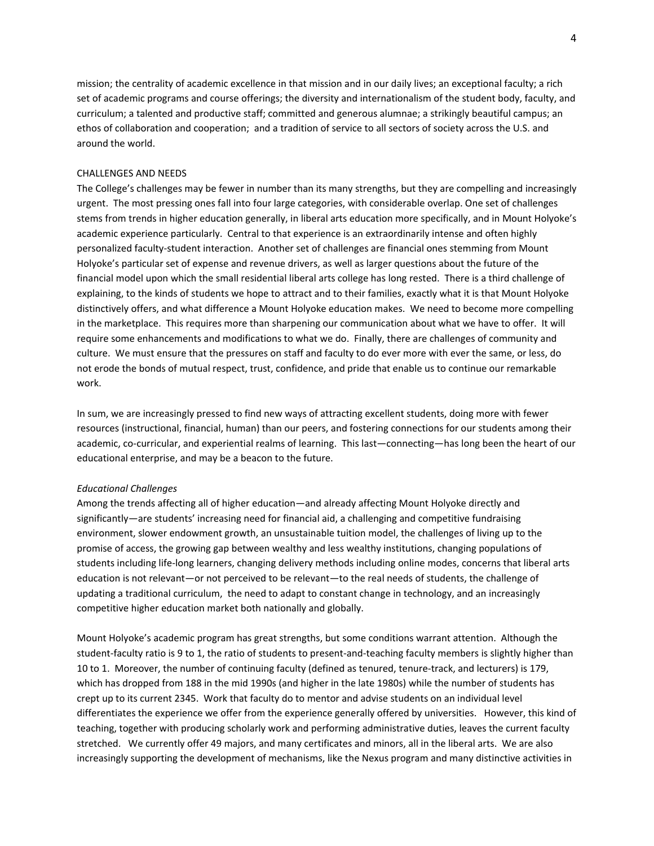mission; the centrality of academic excellence in that mission and in our daily lives; an exceptional faculty; a rich set of academic programs and course offerings; the diversity and internationalism of the student body, faculty, and curriculum; a talented and productive staff; committed and generous alumnae; a strikingly beautiful campus; an ethos of collaboration and cooperation; and a tradition of service to all sectors of society across the U.S. and around the world.

### CHALLENGES AND NEEDS

The College's challenges may be fewer in number than its many strengths, but they are compelling and increasingly urgent. The most pressing ones fall into four large categories, with considerable overlap. One set of challenges stems from trends in higher education generally, in liberal arts education more specifically, and in Mount Holyoke's academic experience particularly. Central to that experience is an extraordinarily intense and often highly personalized faculty‐student interaction. Another set of challenges are financial ones stemming from Mount Holyoke's particular set of expense and revenue drivers, as well as larger questions about the future of the financial model upon which the small residential liberal arts college has long rested. There is a third challenge of explaining, to the kinds of students we hope to attract and to their families, exactly what it is that Mount Holyoke distinctively offers, and what difference a Mount Holyoke education makes. We need to become more compelling in the marketplace. This requires more than sharpening our communication about what we have to offer. It will require some enhancements and modifications to what we do. Finally, there are challenges of community and culture. We must ensure that the pressures on staff and faculty to do ever more with ever the same, or less, do not erode the bonds of mutual respect, trust, confidence, and pride that enable us to continue our remarkable work.

In sum, we are increasingly pressed to find new ways of attracting excellent students, doing more with fewer resources (instructional, financial, human) than our peers, and fostering connections for our students among their academic, co-curricular, and experiential realms of learning. This last—connecting—has long been the heart of our educational enterprise, and may be a beacon to the future.

#### *Educational Challenges*

Among the trends affecting all of higher education—and already affecting Mount Holyoke directly and significantly—are students' increasing need for financial aid, a challenging and competitive fundraising environment, slower endowment growth, an unsustainable tuition model, the challenges of living up to the promise of access, the growing gap between wealthy and less wealthy institutions, changing populations of students including life‐long learners, changing delivery methods including online modes, concerns that liberal arts education is not relevant—or not perceived to be relevant—to the real needs of students, the challenge of updating a traditional curriculum, the need to adapt to constant change in technology, and an increasingly competitive higher education market both nationally and globally.

Mount Holyoke's academic program has great strengths, but some conditions warrant attention. Although the student-faculty ratio is 9 to 1, the ratio of students to present-and-teaching faculty members is slightly higher than 10 to 1. Moreover, the number of continuing faculty (defined as tenured, tenure-track, and lecturers) is 179, which has dropped from 188 in the mid 1990s (and higher in the late 1980s) while the number of students has crept up to its current 2345. Work that faculty do to mentor and advise students on an individual level differentiates the experience we offer from the experience generally offered by universities. However, this kind of teaching, together with producing scholarly work and performing administrative duties, leaves the current faculty stretched. We currently offer 49 majors, and many certificates and minors, all in the liberal arts. We are also increasingly supporting the development of mechanisms, like the Nexus program and many distinctive activities in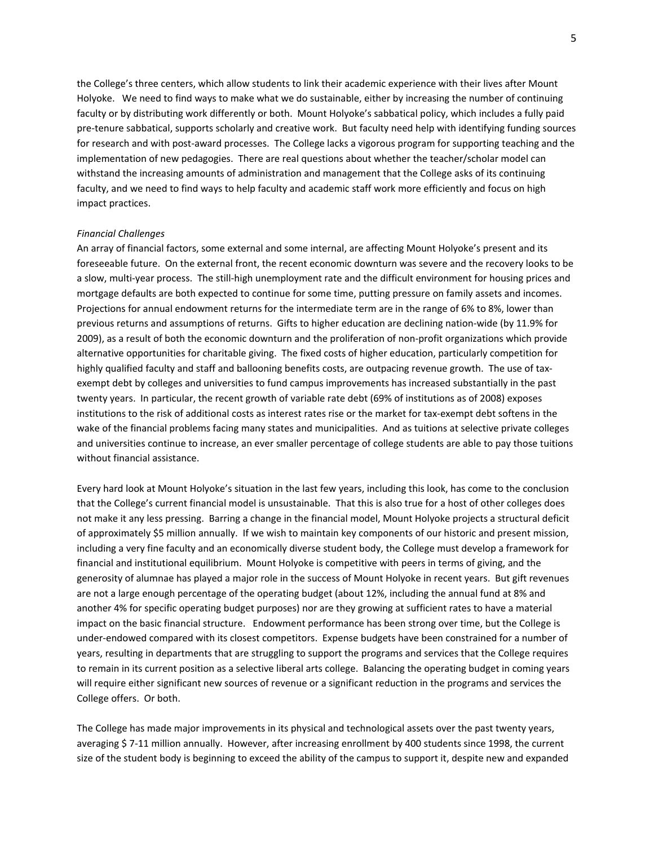the College's three centers, which allow students to link their academic experience with their lives after Mount Holyoke. We need to find ways to make what we do sustainable, either by increasing the number of continuing faculty or by distributing work differently or both. Mount Holyoke's sabbatical policy, which includes a fully paid pre-tenure sabbatical, supports scholarly and creative work. But faculty need help with identifying funding sources for research and with post-award processes. The College lacks a vigorous program for supporting teaching and the implementation of new pedagogies. There are real questions about whether the teacher/scholar model can withstand the increasing amounts of administration and management that the College asks of its continuing faculty, and we need to find ways to help faculty and academic staff work more efficiently and focus on high impact practices.

#### *Financial Challenges*

An array of financial factors, some external and some internal, are affecting Mount Holyoke's present and its foreseeable future. On the external front, the recent economic downturn was severe and the recovery looks to be a slow, multi-year process. The still-high unemployment rate and the difficult environment for housing prices and mortgage defaults are both expected to continue for some time, putting pressure on family assets and incomes. Projections for annual endowment returns for the intermediate term are in the range of 6% to 8%, lower than previous returns and assumptions of returns. Gifts to higher education are declining nation-wide (by 11.9% for 2009), as a result of both the economic downturn and the proliferation of non-profit organizations which provide alternative opportunities for charitable giving. The fixed costs of higher education, particularly competition for highly qualified faculty and staff and ballooning benefits costs, are outpacing revenue growth. The use of tax‐ exempt debt by colleges and universities to fund campus improvements has increased substantially in the past twenty years. In particular, the recent growth of variable rate debt (69% of institutions as of 2008) exposes institutions to the risk of additional costs as interest rates rise or the market for tax‐exempt debt softens in the wake of the financial problems facing many states and municipalities. And as tuitions at selective private colleges and universities continue to increase, an ever smaller percentage of college students are able to pay those tuitions without financial assistance.

Every hard look at Mount Holyoke's situation in the last few years, including this look, has come to the conclusion that the College's current financial model is unsustainable. That this is also true for a host of other colleges does not make it any less pressing. Barring a change in the financial model, Mount Holyoke projects a structural deficit of approximately \$5 million annually. If we wish to maintain key components of our historic and present mission, including a very fine faculty and an economically diverse student body, the College must develop a framework for financial and institutional equilibrium. Mount Holyoke is competitive with peers in terms of giving, and the generosity of alumnae has played a major role in the success of Mount Holyoke in recent years. But gift revenues are not a large enough percentage of the operating budget (about 12%, including the annual fund at 8% and another 4% for specific operating budget purposes) nor are they growing at sufficient rates to have a material impact on the basic financial structure. Endowment performance has been strong over time, but the College is under‐endowed compared with its closest competitors. Expense budgets have been constrained for a number of years, resulting in departments that are struggling to support the programs and services that the College requires to remain in its current position as a selective liberal arts college. Balancing the operating budget in coming years will require either significant new sources of revenue or a significant reduction in the programs and services the College offers. Or both.

The College has made major improvements in its physical and technological assets over the past twenty years, averaging \$ 7‐11 million annually. However, after increasing enrollment by 400 students since 1998, the current size of the student body is beginning to exceed the ability of the campus to support it, despite new and expanded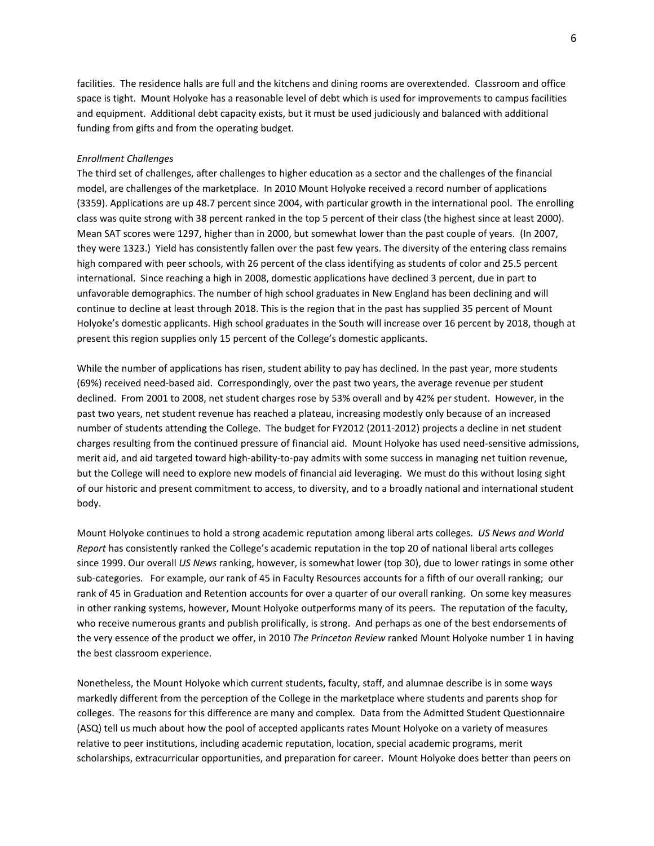facilities. The residence halls are full and the kitchens and dining rooms are overextended. Classroom and office space is tight. Mount Holyoke has a reasonable level of debt which is used for improvements to campus facilities and equipment. Additional debt capacity exists, but it must be used judiciously and balanced with additional funding from gifts and from the operating budget.

### *Enrollment Challenges*

The third set of challenges, after challenges to higher education as a sector and the challenges of the financial model, are challenges of the marketplace. In 2010 Mount Holyoke received a record number of applications (3359). Applications are up 48.7 percent since 2004, with particular growth in the international pool. The enrolling class was quite strong with 38 percent ranked in the top 5 percent of their class (the highest since at least 2000). Mean SAT scores were 1297, higher than in 2000, but somewhat lower than the past couple of years. (In 2007, they were 1323.) Yield has consistently fallen over the past few years. The diversity of the entering class remains high compared with peer schools, with 26 percent of the class identifying as students of color and 25.5 percent international. Since reaching a high in 2008, domestic applications have declined 3 percent, due in part to unfavorable demographics. The number of high school graduates in New England has been declining and will continue to decline at least through 2018. This is the region that in the past has supplied 35 percent of Mount Holyoke's domestic applicants. High school graduates in the South will increase over 16 percent by 2018, though at present this region supplies only 15 percent of the College's domestic applicants.

While the number of applications has risen, student ability to pay has declined. In the past year, more students (69%) received need‐based aid. Correspondingly, over the past two years, the average revenue per student declined. From 2001 to 2008, net student charges rose by 53% overall and by 42% per student. However, in the past two years, net student revenue has reached a plateau, increasing modestly only because of an increased number of students attending the College. The budget for FY2012 (2011‐2012) projects a decline in net student charges resulting from the continued pressure of financial aid. Mount Holyoke has used need‐sensitive admissions, merit aid, and aid targeted toward high‐ability‐to‐pay admits with some success in managing net tuition revenue, but the College will need to explore new models of financial aid leveraging. We must do this without losing sight of our historic and present commitment to access, to diversity, and to a broadly national and international student body.

Mount Holyoke continues to hold a strong academic reputation among liberal arts colleges. *US News and World Report* has consistently ranked the College's academic reputation in the top 20 of national liberal arts colleges since 1999. Our overall *US News* ranking, however, is somewhat lower (top 30), due to lower ratings in some other sub-categories. For example, our rank of 45 in Faculty Resources accounts for a fifth of our overall ranking; our rank of 45 in Graduation and Retention accounts for over a quarter of our overall ranking. On some key measures in other ranking systems, however, Mount Holyoke outperforms many of its peers. The reputation of the faculty, who receive numerous grants and publish prolifically, is strong. And perhaps as one of the best endorsements of the very essence of the product we offer, in 2010 *The Princeton Review* ranked Mount Holyoke number 1 in having the best classroom experience.

Nonetheless, the Mount Holyoke which current students, faculty, staff, and alumnae describe is in some ways markedly different from the perception of the College in the marketplace where students and parents shop for colleges. The reasons for this difference are many and complex. Data from the Admitted Student Questionnaire (ASQ) tell us much about how the pool of accepted applicants rates Mount Holyoke on a variety of measures relative to peer institutions, including academic reputation, location, special academic programs, merit scholarships, extracurricular opportunities, and preparation for career. Mount Holyoke does better than peers on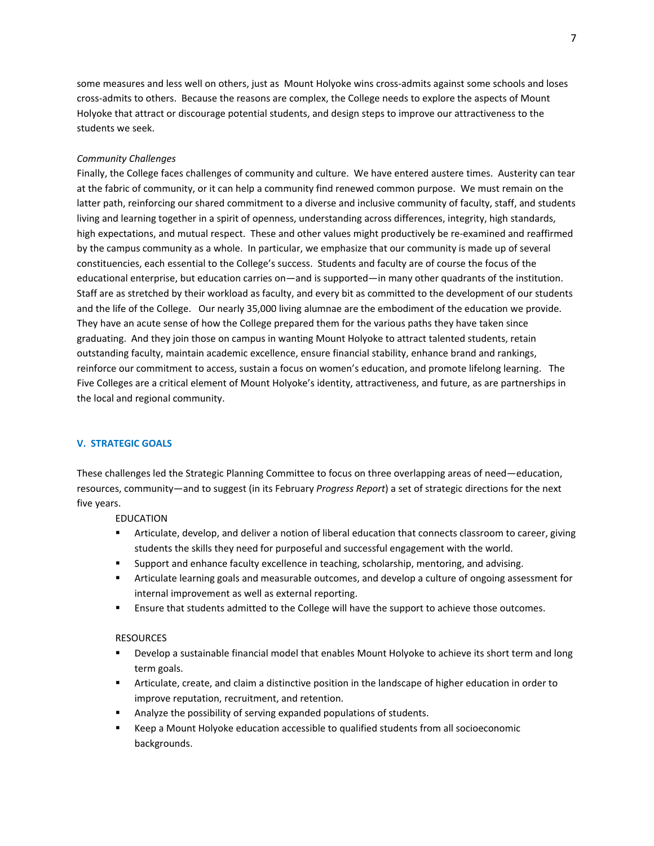some measures and less well on others, just as Mount Holyoke wins cross-admits against some schools and loses cross‐admits to others. Because the reasons are complex, the College needs to explore the aspects of Mount Holyoke that attract or discourage potential students, and design steps to improve our attractiveness to the students we seek.

### *Community Challenges*

Finally, the College faces challenges of community and culture. We have entered austere times. Austerity can tear at the fabric of community, or it can help a community find renewed common purpose. We must remain on the latter path, reinforcing our shared commitment to a diverse and inclusive community of faculty, staff, and students living and learning together in a spirit of openness, understanding across differences, integrity, high standards, high expectations, and mutual respect. These and other values might productively be re-examined and reaffirmed by the campus community as a whole. In particular, we emphasize that our community is made up of several constituencies, each essential to the College's success. Students and faculty are of course the focus of the educational enterprise, but education carries on—and is supported—in many other quadrants of the institution. Staff are as stretched by their workload as faculty, and every bit as committed to the development of our students and the life of the College. Our nearly 35,000 living alumnae are the embodiment of the education we provide. They have an acute sense of how the College prepared them for the various paths they have taken since graduating. And they join those on campus in wanting Mount Holyoke to attract talented students, retain outstanding faculty, maintain academic excellence, ensure financial stability, enhance brand and rankings, reinforce our commitment to access, sustain a focus on women's education, and promote lifelong learning. The Five Colleges are a critical element of Mount Holyoke's identity, attractiveness, and future, as are partnerships in the local and regional community.

## **V. STRATEGIC GOALS**

These challenges led the Strategic Planning Committee to focus on three overlapping areas of need—education, resources, community—and to suggest (in its February *Progress Report*) a set of strategic directions for the next five years.

### EDUCATION

- Articulate, develop, and deliver a notion of liberal education that connects classroom to career, giving students the skills they need for purposeful and successful engagement with the world.
- Support and enhance faculty excellence in teaching, scholarship, mentoring, and advising.
- Articulate learning goals and measurable outcomes, and develop a culture of ongoing assessment for internal improvement as well as external reporting.
- **Ensure that students admitted to the College will have the support to achieve those outcomes.**

### **RESOURCES**

- **Develop a sustainable financial model that enables Mount Holyoke to achieve its short term and long** term goals.
- Articulate, create, and claim a distinctive position in the landscape of higher education in order to improve reputation, recruitment, and retention.
- Analyze the possibility of serving expanded populations of students.
- Keep a Mount Holyoke education accessible to qualified students from all socioeconomic backgrounds.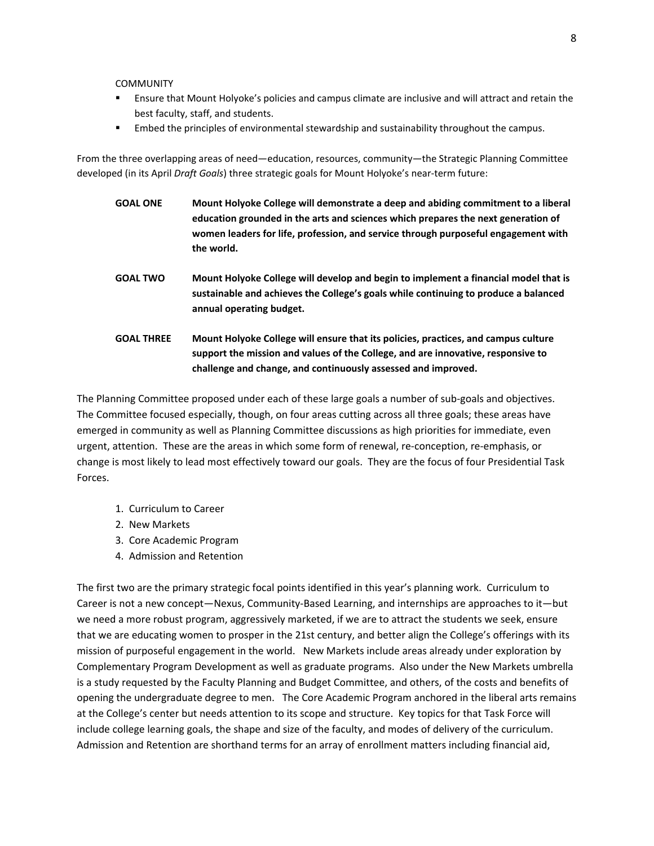COMMUNITY

- Ensure that Mount Holyoke's policies and campus climate are inclusive and will attract and retain the best faculty, staff, and students.
- **Embed the principles of environmental stewardship and sustainability throughout the campus.**

From the three overlapping areas of need—education, resources, community—the Strategic Planning Committee developed (in its April *Draft Goals*) three strategic goals for Mount Holyoke's near‐term future:

- **GOAL ONE Mount Holyoke College will demonstrate a deep and abiding commitment to a liberal education grounded in the arts and sciences which prepares the next generation of women leaders for life, profession, and service through purposeful engagement with the world.**
- **GOAL TWO Mount Holyoke College will develop and begin to implement a financial model that is sustainable and achieves the College's goals while continuing to produce a balanced annual operating budget.**
- **GOAL THREE Mount Holyoke College will ensure that its policies, practices, and campus culture support the mission and values of the College, and are innovative, responsive to challenge and change, and continuously assessed and improved.**

The Planning Committee proposed under each of these large goals a number of sub‐goals and objectives. The Committee focused especially, though, on four areas cutting across all three goals; these areas have emerged in community as well as Planning Committee discussions as high priorities for immediate, even urgent, attention. These are the areas in which some form of renewal, re-conception, re-emphasis, or change is most likely to lead most effectively toward our goals. They are the focus of four Presidential Task Forces.

- 1. Curriculum to Career
- 2. New Markets
- 3. Core Academic Program
- 4. Admission and Retention

The first two are the primary strategic focal points identified in this year's planning work. Curriculum to Career is not a new concept—Nexus, Community‐Based Learning, and internships are approaches to it—but we need a more robust program, aggressively marketed, if we are to attract the students we seek, ensure that we are educating women to prosper in the 21st century, and better align the College's offerings with its mission of purposeful engagement in the world. New Markets include areas already under exploration by Complementary Program Development as well as graduate programs. Also under the New Markets umbrella is a study requested by the Faculty Planning and Budget Committee, and others, of the costs and benefits of opening the undergraduate degree to men. The Core Academic Program anchored in the liberal arts remains at the College's center but needs attention to its scope and structure. Key topics for that Task Force will include college learning goals, the shape and size of the faculty, and modes of delivery of the curriculum. Admission and Retention are shorthand terms for an array of enrollment matters including financial aid,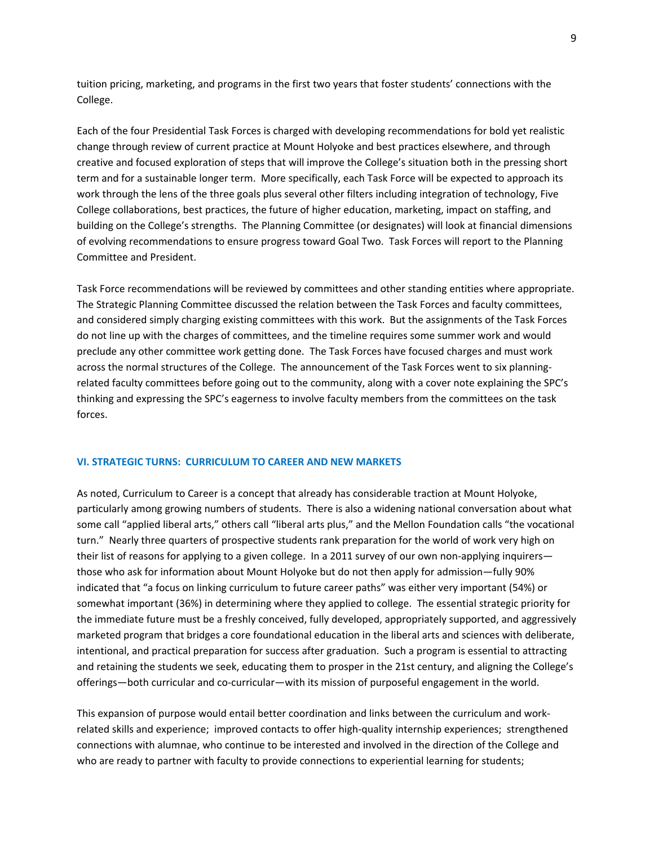tuition pricing, marketing, and programs in the first two years that foster students' connections with the College.

Each of the four Presidential Task Forces is charged with developing recommendations for bold yet realistic change through review of current practice at Mount Holyoke and best practices elsewhere, and through creative and focused exploration of steps that will improve the College's situation both in the pressing short term and for a sustainable longer term. More specifically, each Task Force will be expected to approach its work through the lens of the three goals plus several other filters including integration of technology, Five College collaborations, best practices, the future of higher education, marketing, impact on staffing, and building on the College's strengths. The Planning Committee (or designates) will look at financial dimensions of evolving recommendations to ensure progress toward Goal Two. Task Forces will report to the Planning Committee and President.

Task Force recommendations will be reviewed by committees and other standing entities where appropriate. The Strategic Planning Committee discussed the relation between the Task Forces and faculty committees, and considered simply charging existing committees with this work. But the assignments of the Task Forces do not line up with the charges of committees, and the timeline requires some summer work and would preclude any other committee work getting done. The Task Forces have focused charges and must work across the normal structures of the College. The announcement of the Task Forces went to six planningrelated faculty committees before going out to the community, along with a cover note explaining the SPC's thinking and expressing the SPC's eagerness to involve faculty members from the committees on the task forces.

### **VI. STRATEGIC TURNS: CURRICULUM TO CAREER AND NEW MARKETS**

As noted, Curriculum to Career is a concept that already has considerable traction at Mount Holyoke, particularly among growing numbers of students. There is also a widening national conversation about what some call "applied liberal arts," others call "liberal arts plus," and the Mellon Foundation calls "the vocational turn." Nearly three quarters of prospective students rank preparation for the world of work very high on their list of reasons for applying to a given college. In a 2011 survey of our own non-applying inquirers those who ask for information about Mount Holyoke but do not then apply for admission—fully 90% indicated that "a focus on linking curriculum to future career paths" was either very important (54%) or somewhat important (36%) in determining where they applied to college. The essential strategic priority for the immediate future must be a freshly conceived, fully developed, appropriately supported, and aggressively marketed program that bridges a core foundational education in the liberal arts and sciences with deliberate, intentional, and practical preparation for success after graduation. Such a program is essential to attracting and retaining the students we seek, educating them to prosper in the 21st century, and aligning the College's offerings—both curricular and co‐curricular—with its mission of purposeful engagement in the world.

This expansion of purpose would entail better coordination and links between the curriculum and work‐ related skills and experience; improved contacts to offer high‐quality internship experiences; strengthened connections with alumnae, who continue to be interested and involved in the direction of the College and who are ready to partner with faculty to provide connections to experiential learning for students;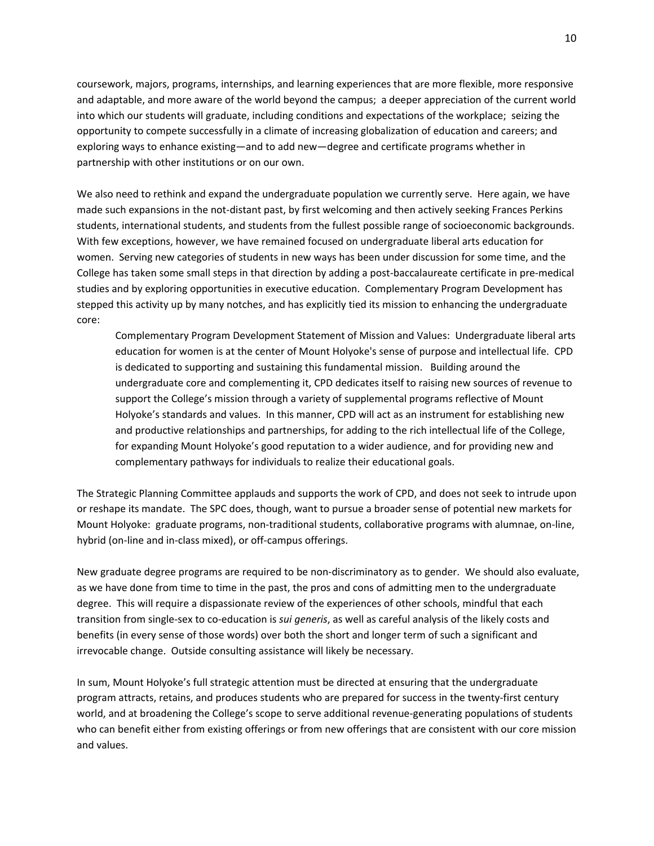coursework, majors, programs, internships, and learning experiences that are more flexible, more responsive and adaptable, and more aware of the world beyond the campus; a deeper appreciation of the current world into which our students will graduate, including conditions and expectations of the workplace; seizing the opportunity to compete successfully in a climate of increasing globalization of education and careers; and exploring ways to enhance existing—and to add new—degree and certificate programs whether in partnership with other institutions or on our own.

We also need to rethink and expand the undergraduate population we currently serve. Here again, we have made such expansions in the not-distant past, by first welcoming and then actively seeking Frances Perkins students, international students, and students from the fullest possible range of socioeconomic backgrounds. With few exceptions, however, we have remained focused on undergraduate liberal arts education for women. Serving new categories of students in new ways has been under discussion for some time, and the College has taken some small steps in that direction by adding a post‐baccalaureate certificate in pre‐medical studies and by exploring opportunities in executive education. Complementary Program Development has stepped this activity up by many notches, and has explicitly tied its mission to enhancing the undergraduate core:

Complementary Program Development Statement of Mission and Values: Undergraduate liberal arts education for women is at the center of Mount Holyoke's sense of purpose and intellectual life. CPD is dedicated to supporting and sustaining this fundamental mission. Building around the undergraduate core and complementing it, CPD dedicates itself to raising new sources of revenue to support the College's mission through a variety of supplemental programs reflective of Mount Holyoke's standards and values. In this manner, CPD will act as an instrument for establishing new and productive relationships and partnerships, for adding to the rich intellectual life of the College, for expanding Mount Holyoke's good reputation to a wider audience, and for providing new and complementary pathways for individuals to realize their educational goals.

The Strategic Planning Committee applauds and supports the work of CPD, and does not seek to intrude upon or reshape its mandate. The SPC does, though, want to pursue a broader sense of potential new markets for Mount Holyoke: graduate programs, non-traditional students, collaborative programs with alumnae, on-line, hybrid (on-line and in-class mixed), or off-campus offerings.

New graduate degree programs are required to be non-discriminatory as to gender. We should also evaluate, as we have done from time to time in the past, the pros and cons of admitting men to the undergraduate degree. This will require a dispassionate review of the experiences of other schools, mindful that each transition from single‐sex to co‐education is *sui generis*, as well as careful analysis of the likely costs and benefits (in every sense of those words) over both the short and longer term of such a significant and irrevocable change. Outside consulting assistance will likely be necessary.

In sum, Mount Holyoke's full strategic attention must be directed at ensuring that the undergraduate program attracts, retains, and produces students who are prepared for success in the twenty‐first century world, and at broadening the College's scope to serve additional revenue-generating populations of students who can benefit either from existing offerings or from new offerings that are consistent with our core mission and values.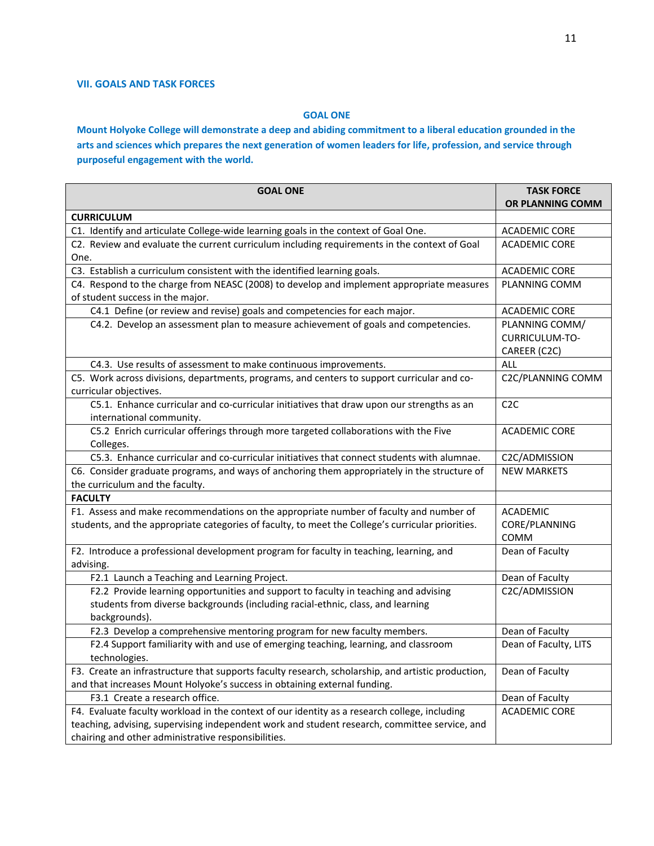# **VII. GOALS AND TASK FORCES**

## **GOAL ONE**

Mount Holyoke College will demonstrate a deep and abiding commitment to a liberal education grounded in the arts and sciences which prepares the next generation of women leaders for life, profession, and service through **purposeful engagement with the world.**

| <b>GOAL ONE</b>                                                                                                                                      | <b>TASK FORCE</b><br>OR PLANNING COMM |  |  |
|------------------------------------------------------------------------------------------------------------------------------------------------------|---------------------------------------|--|--|
| <b>CURRICULUM</b>                                                                                                                                    |                                       |  |  |
| C1. Identify and articulate College-wide learning goals in the context of Goal One.                                                                  | <b>ACADEMIC CORE</b>                  |  |  |
| C2. Review and evaluate the current curriculum including requirements in the context of Goal                                                         | <b>ACADEMIC CORE</b>                  |  |  |
| One.                                                                                                                                                 |                                       |  |  |
| C3. Establish a curriculum consistent with the identified learning goals.                                                                            | <b>ACADEMIC CORE</b>                  |  |  |
| C4. Respond to the charge from NEASC (2008) to develop and implement appropriate measures                                                            | PLANNING COMM                         |  |  |
| of student success in the major.                                                                                                                     |                                       |  |  |
| C4.1 Define (or review and revise) goals and competencies for each major.                                                                            | <b>ACADEMIC CORE</b>                  |  |  |
| C4.2. Develop an assessment plan to measure achievement of goals and competencies.                                                                   | PLANNING COMM/                        |  |  |
|                                                                                                                                                      | CURRICULUM-TO-                        |  |  |
|                                                                                                                                                      | CAREER (C2C)                          |  |  |
| C4.3. Use results of assessment to make continuous improvements.                                                                                     | ALL                                   |  |  |
| C5. Work across divisions, departments, programs, and centers to support curricular and co-                                                          | C2C/PLANNING COMM                     |  |  |
| curricular objectives.                                                                                                                               |                                       |  |  |
| C5.1. Enhance curricular and co-curricular initiatives that draw upon our strengths as an                                                            | C2C                                   |  |  |
| international community.                                                                                                                             |                                       |  |  |
| C5.2 Enrich curricular offerings through more targeted collaborations with the Five                                                                  | <b>ACADEMIC CORE</b>                  |  |  |
| Colleges.<br>C5.3. Enhance curricular and co-curricular initiatives that connect students with alumnae.                                              |                                       |  |  |
| C6. Consider graduate programs, and ways of anchoring them appropriately in the structure of                                                         | C2C/ADMISSION<br><b>NEW MARKETS</b>   |  |  |
| the curriculum and the faculty.                                                                                                                      |                                       |  |  |
| <b>FACULTY</b>                                                                                                                                       |                                       |  |  |
| F1. Assess and make recommendations on the appropriate number of faculty and number of                                                               | <b>ACADEMIC</b>                       |  |  |
| students, and the appropriate categories of faculty, to meet the College's curricular priorities.                                                    | CORE/PLANNING                         |  |  |
|                                                                                                                                                      | COMM                                  |  |  |
| F2. Introduce a professional development program for faculty in teaching, learning, and                                                              | Dean of Faculty                       |  |  |
| advising.                                                                                                                                            |                                       |  |  |
| F2.1 Launch a Teaching and Learning Project.                                                                                                         | Dean of Faculty                       |  |  |
| F2.2 Provide learning opportunities and support to faculty in teaching and advising                                                                  | C2C/ADMISSION                         |  |  |
| students from diverse backgrounds (including racial-ethnic, class, and learning                                                                      |                                       |  |  |
| backgrounds).                                                                                                                                        |                                       |  |  |
| F2.3 Develop a comprehensive mentoring program for new faculty members.                                                                              | Dean of Faculty                       |  |  |
| F2.4 Support familiarity with and use of emerging teaching, learning, and classroom                                                                  | Dean of Faculty, LITS                 |  |  |
| technologies.                                                                                                                                        |                                       |  |  |
| F3. Create an infrastructure that supports faculty research, scholarship, and artistic production,                                                   | Dean of Faculty                       |  |  |
| and that increases Mount Holyoke's success in obtaining external funding.                                                                            |                                       |  |  |
| F3.1 Create a research office.                                                                                                                       | Dean of Faculty                       |  |  |
| F4. Evaluate faculty workload in the context of our identity as a research college, including                                                        | <b>ACADEMIC CORE</b>                  |  |  |
| teaching, advising, supervising independent work and student research, committee service, and<br>chairing and other administrative responsibilities. |                                       |  |  |
|                                                                                                                                                      |                                       |  |  |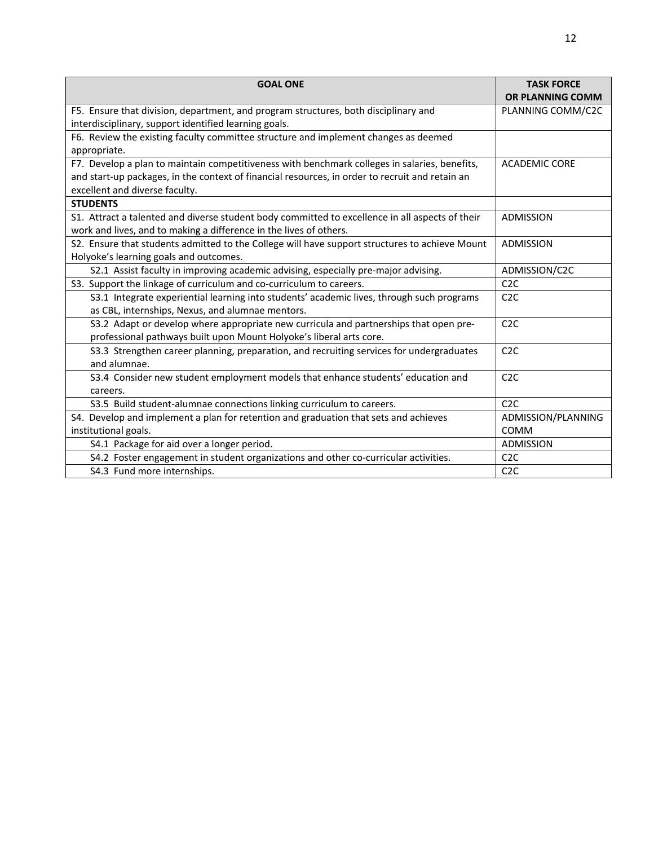| <b>GOAL ONE</b>                                                                                 | <b>TASK FORCE</b><br><b>OR PLANNING COMM</b> |  |  |
|-------------------------------------------------------------------------------------------------|----------------------------------------------|--|--|
| F5. Ensure that division, department, and program structures, both disciplinary and             | PLANNING COMM/C2C                            |  |  |
|                                                                                                 |                                              |  |  |
| interdisciplinary, support identified learning goals.                                           |                                              |  |  |
| F6. Review the existing faculty committee structure and implement changes as deemed             |                                              |  |  |
| appropriate.                                                                                    |                                              |  |  |
| F7. Develop a plan to maintain competitiveness with benchmark colleges in salaries, benefits,   | <b>ACADEMIC CORE</b>                         |  |  |
| and start-up packages, in the context of financial resources, in order to recruit and retain an |                                              |  |  |
| excellent and diverse faculty.                                                                  |                                              |  |  |
| <b>STUDENTS</b>                                                                                 |                                              |  |  |
| S1. Attract a talented and diverse student body committed to excellence in all aspects of their | <b>ADMISSION</b>                             |  |  |
| work and lives, and to making a difference in the lives of others.                              |                                              |  |  |
| S2. Ensure that students admitted to the College will have support structures to achieve Mount  | ADMISSION                                    |  |  |
| Holyoke's learning goals and outcomes.                                                          |                                              |  |  |
| S2.1 Assist faculty in improving academic advising, especially pre-major advising.              | ADMISSION/C2C                                |  |  |
| S3. Support the linkage of curriculum and co-curriculum to careers.                             | C2C                                          |  |  |
| S3.1 Integrate experiential learning into students' academic lives, through such programs       | C <sub>2</sub> C                             |  |  |
| as CBL, internships, Nexus, and alumnae mentors.                                                |                                              |  |  |
| S3.2 Adapt or develop where appropriate new curricula and partnerships that open pre-           | C <sub>2</sub> C                             |  |  |
| professional pathways built upon Mount Holyoke's liberal arts core.                             |                                              |  |  |
| S3.3 Strengthen career planning, preparation, and recruiting services for undergraduates        | C2C                                          |  |  |
| and alumnae.                                                                                    |                                              |  |  |
| S3.4 Consider new student employment models that enhance students' education and                | C <sub>2</sub> C                             |  |  |
| careers.                                                                                        |                                              |  |  |
| S3.5 Build student-alumnae connections linking curriculum to careers.                           | C <sub>2</sub> C                             |  |  |
| S4. Develop and implement a plan for retention and graduation that sets and achieves            | ADMISSION/PLANNING                           |  |  |
| institutional goals.                                                                            | <b>COMM</b>                                  |  |  |
| S4.1 Package for aid over a longer period.                                                      | ADMISSION                                    |  |  |
| S4.2 Foster engagement in student organizations and other co-curricular activities.             | C2C                                          |  |  |
| S4.3 Fund more internships.                                                                     | C <sub>2</sub> C                             |  |  |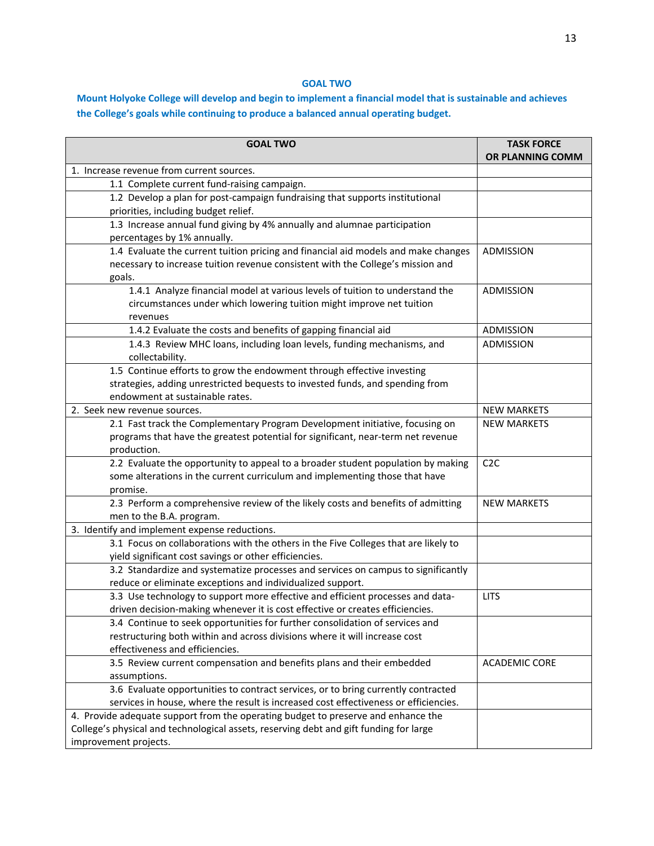# **GOAL TWO**

# Mount Holyoke College will develop and begin to implement a financial model that is sustainable and achieves **the College's goals while continuing to produce a balanced annual operating budget.**

| <b>GOAL TWO</b>                                                                                                                                                                                      | <b>TASK FORCE</b><br>OR PLANNING COMM |  |
|------------------------------------------------------------------------------------------------------------------------------------------------------------------------------------------------------|---------------------------------------|--|
| 1. Increase revenue from current sources.                                                                                                                                                            |                                       |  |
| 1.1 Complete current fund-raising campaign.                                                                                                                                                          |                                       |  |
| 1.2 Develop a plan for post-campaign fundraising that supports institutional<br>priorities, including budget relief.                                                                                 |                                       |  |
| 1.3 Increase annual fund giving by 4% annually and alumnae participation                                                                                                                             |                                       |  |
| percentages by 1% annually.                                                                                                                                                                          |                                       |  |
| 1.4 Evaluate the current tuition pricing and financial aid models and make changes<br>necessary to increase tuition revenue consistent with the College's mission and<br>goals.                      | ADMISSION                             |  |
| 1.4.1 Analyze financial model at various levels of tuition to understand the<br>circumstances under which lowering tuition might improve net tuition<br>revenues                                     | ADMISSION                             |  |
| 1.4.2 Evaluate the costs and benefits of gapping financial aid                                                                                                                                       | ADMISSION                             |  |
| 1.4.3 Review MHC loans, including loan levels, funding mechanisms, and<br>collectability.                                                                                                            | ADMISSION                             |  |
| 1.5 Continue efforts to grow the endowment through effective investing<br>strategies, adding unrestricted bequests to invested funds, and spending from<br>endowment at sustainable rates.           |                                       |  |
| 2. Seek new revenue sources.                                                                                                                                                                         | <b>NEW MARKETS</b>                    |  |
| 2.1 Fast track the Complementary Program Development initiative, focusing on<br>programs that have the greatest potential for significant, near-term net revenue<br>production.                      | <b>NEW MARKETS</b>                    |  |
| 2.2 Evaluate the opportunity to appeal to a broader student population by making<br>some alterations in the current curriculum and implementing those that have<br>promise.                          | C2C                                   |  |
| 2.3 Perform a comprehensive review of the likely costs and benefits of admitting<br>men to the B.A. program.                                                                                         | <b>NEW MARKETS</b>                    |  |
| 3. Identify and implement expense reductions.                                                                                                                                                        |                                       |  |
| 3.1 Focus on collaborations with the others in the Five Colleges that are likely to<br>yield significant cost savings or other efficiencies.                                                         |                                       |  |
| 3.2 Standardize and systematize processes and services on campus to significantly<br>reduce or eliminate exceptions and individualized support.                                                      |                                       |  |
| 3.3 Use technology to support more effective and efficient processes and data-<br>driven decision-making whenever it is cost effective or creates efficiencies.                                      | <b>LITS</b>                           |  |
| 3.4 Continue to seek opportunities for further consolidation of services and<br>restructuring both within and across divisions where it will increase cost<br>effectiveness and efficiencies.        |                                       |  |
| 3.5 Review current compensation and benefits plans and their embedded<br>assumptions.                                                                                                                | <b>ACADEMIC CORE</b>                  |  |
| 3.6 Evaluate opportunities to contract services, or to bring currently contracted<br>services in house, where the result is increased cost effectiveness or efficiencies.                            |                                       |  |
| 4. Provide adequate support from the operating budget to preserve and enhance the<br>College's physical and technological assets, reserving debt and gift funding for large<br>improvement projects. |                                       |  |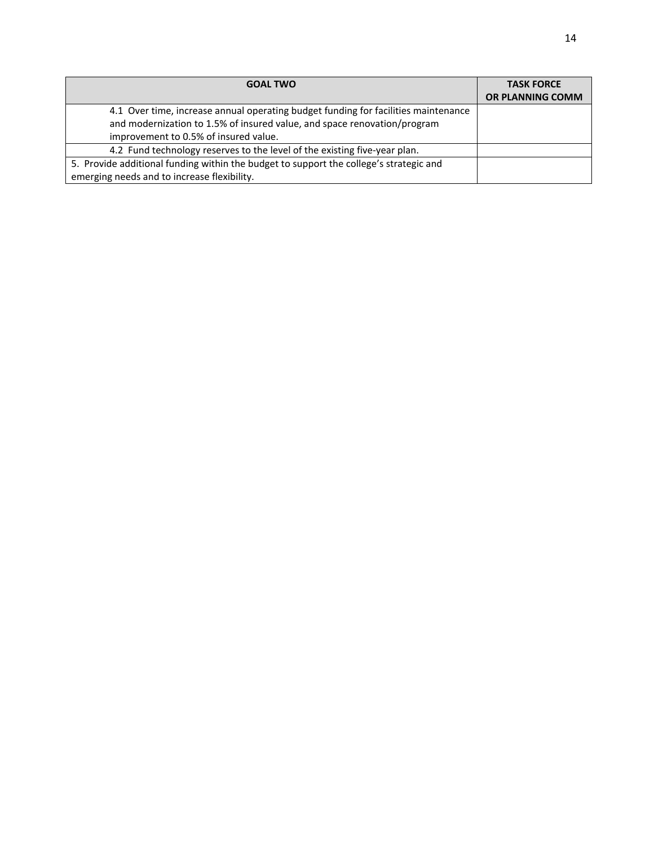| <b>GOAL TWO</b>                                                                        | <b>TASK FORCE</b><br><b>OR PLANNING COMM</b> |
|----------------------------------------------------------------------------------------|----------------------------------------------|
| 4.1 Over time, increase annual operating budget funding for facilities maintenance     |                                              |
| and modernization to 1.5% of insured value, and space renovation/program               |                                              |
| improvement to 0.5% of insured value.                                                  |                                              |
| 4.2 Fund technology reserves to the level of the existing five-year plan.              |                                              |
| 5. Provide additional funding within the budget to support the college's strategic and |                                              |
| emerging needs and to increase flexibility.                                            |                                              |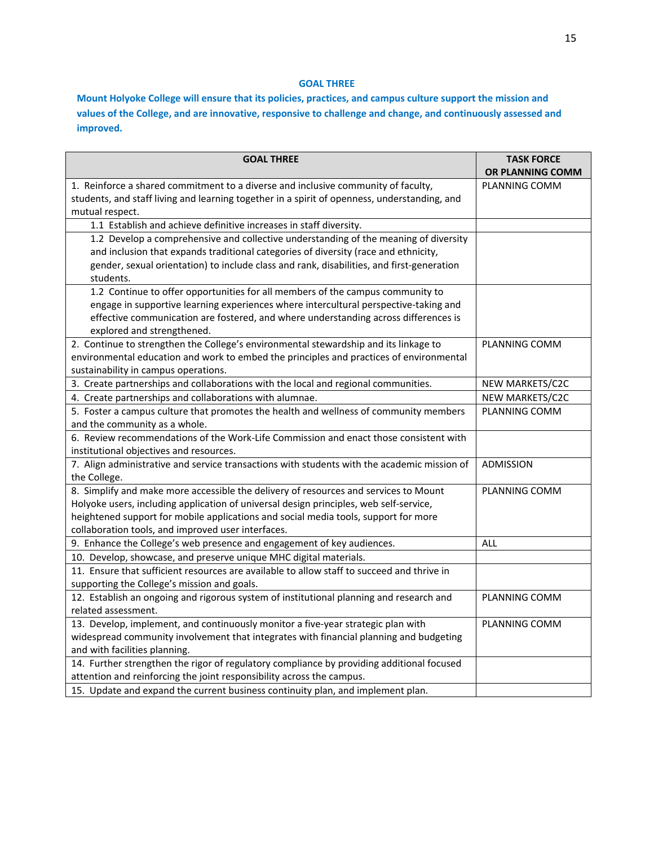## **GOAL THREE**

**Mount Holyoke College will ensure that its policies, practices, and campus culture support the mission and values of the College, and are innovative, responsive to challenge and change, and continuously assessed and improved.** 

| <b>GOAL THREE</b>                                                                            | <b>TASK FORCE</b><br>OR PLANNING COMM |  |  |
|----------------------------------------------------------------------------------------------|---------------------------------------|--|--|
| 1. Reinforce a shared commitment to a diverse and inclusive community of faculty,            | PLANNING COMM                         |  |  |
| students, and staff living and learning together in a spirit of openness, understanding, and |                                       |  |  |
| mutual respect.                                                                              |                                       |  |  |
| 1.1 Establish and achieve definitive increases in staff diversity.                           |                                       |  |  |
| 1.2 Develop a comprehensive and collective understanding of the meaning of diversity         |                                       |  |  |
| and inclusion that expands traditional categories of diversity (race and ethnicity,          |                                       |  |  |
| gender, sexual orientation) to include class and rank, disabilities, and first-generation    |                                       |  |  |
| students.                                                                                    |                                       |  |  |
| 1.2 Continue to offer opportunities for all members of the campus community to               |                                       |  |  |
| engage in supportive learning experiences where intercultural perspective-taking and         |                                       |  |  |
| effective communication are fostered, and where understanding across differences is          |                                       |  |  |
| explored and strengthened.                                                                   |                                       |  |  |
| 2. Continue to strengthen the College's environmental stewardship and its linkage to         | PLANNING COMM                         |  |  |
| environmental education and work to embed the principles and practices of environmental      |                                       |  |  |
| sustainability in campus operations.                                                         |                                       |  |  |
| 3. Create partnerships and collaborations with the local and regional communities.           | NEW MARKETS/C2C                       |  |  |
| 4. Create partnerships and collaborations with alumnae.                                      | NEW MARKETS/C2C                       |  |  |
| 5. Foster a campus culture that promotes the health and wellness of community members        | PLANNING COMM                         |  |  |
| and the community as a whole.                                                                |                                       |  |  |
| 6. Review recommendations of the Work-Life Commission and enact those consistent with        |                                       |  |  |
| institutional objectives and resources.                                                      |                                       |  |  |
| 7. Align administrative and service transactions with students with the academic mission of  | <b>ADMISSION</b>                      |  |  |
| the College.                                                                                 |                                       |  |  |
| 8. Simplify and make more accessible the delivery of resources and services to Mount         | PLANNING COMM                         |  |  |
| Holyoke users, including application of universal design principles, web self-service,       |                                       |  |  |
| heightened support for mobile applications and social media tools, support for more          |                                       |  |  |
| collaboration tools, and improved user interfaces.                                           |                                       |  |  |
| 9. Enhance the College's web presence and engagement of key audiences.                       | <b>ALL</b>                            |  |  |
| 10. Develop, showcase, and preserve unique MHC digital materials.                            |                                       |  |  |
| 11. Ensure that sufficient resources are available to allow staff to succeed and thrive in   |                                       |  |  |
| supporting the College's mission and goals.                                                  |                                       |  |  |
| 12. Establish an ongoing and rigorous system of institutional planning and research and      | PLANNING COMM                         |  |  |
| related assessment.                                                                          |                                       |  |  |
| 13. Develop, implement, and continuously monitor a five-year strategic plan with             | PLANNING COMM                         |  |  |
| widespread community involvement that integrates with financial planning and budgeting       |                                       |  |  |
| and with facilities planning.                                                                |                                       |  |  |
| 14. Further strengthen the rigor of regulatory compliance by providing additional focused    |                                       |  |  |
| attention and reinforcing the joint responsibility across the campus.                        |                                       |  |  |
| 15. Update and expand the current business continuity plan, and implement plan.              |                                       |  |  |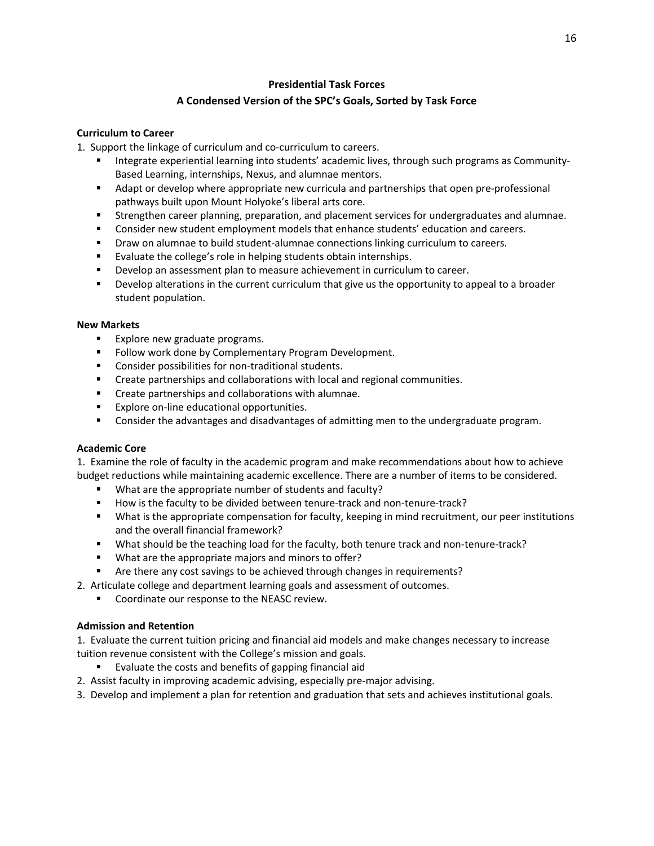# **Presidential Task Forces A Condensed Version of the SPC's Goals, Sorted by Task Force**

## **Curriculum to Career**

1. Support the linkage of curriculum and co-curriculum to careers.

- Integrate experiential learning into students' academic lives, through such programs as Community-Based Learning, internships, Nexus, and alumnae mentors.
- Adapt or develop where appropriate new curricula and partnerships that open pre-professional pathways built upon Mount Holyoke's liberal arts core.
- Strengthen career planning, preparation, and placement services for undergraduates and alumnae.
- **Consider new student employment models that enhance students' education and careers.**
- Draw on alumnae to build student‐alumnae connections linking curriculum to careers.
- Evaluate the college's role in helping students obtain internships.
- **Develop an assessment plan to measure achievement in curriculum to career.**
- **Proport Develop alterations in the current curriculum that give us the opportunity to appeal to a broader** student population.

## **New Markets**

- **Explore new graduate programs.**
- Follow work done by Complementary Program Development.
- Consider possibilities for non-traditional students.
- **EXECTE 20 FETA** Create partnerships and collaborations with local and regional communities.
- **Create partnerships and collaborations with alumnae.**
- Explore on-line educational opportunities.
- **Consider the advantages and disadvantages of admitting men to the undergraduate program.**

### **Academic Core**

1. Examine the role of faculty in the academic program and make recommendations about how to achieve budget reductions while maintaining academic excellence. There are a number of items to be considered.

- What are the appropriate number of students and faculty?
- How is the faculty to be divided between tenure-track and non-tenure-track?
- What is the appropriate compensation for faculty, keeping in mind recruitment, our peer institutions and the overall financial framework?
- What should be the teaching load for the faculty, both tenure track and non-tenure-track?
- What are the appropriate majors and minors to offer?
- Are there any cost savings to be achieved through changes in requirements?
- 2. Articulate college and department learning goals and assessment of outcomes.
	- **Coordinate our response to the NEASC review.**

### **Admission and Retention**

1. Evaluate the current tuition pricing and financial aid models and make changes necessary to increase tuition revenue consistent with the College's mission and goals.

- Evaluate the costs and benefits of gapping financial aid
- 2. Assist faculty in improving academic advising, especially pre-major advising.
- 3. Develop and implement a plan for retention and graduation that sets and achieves institutional goals.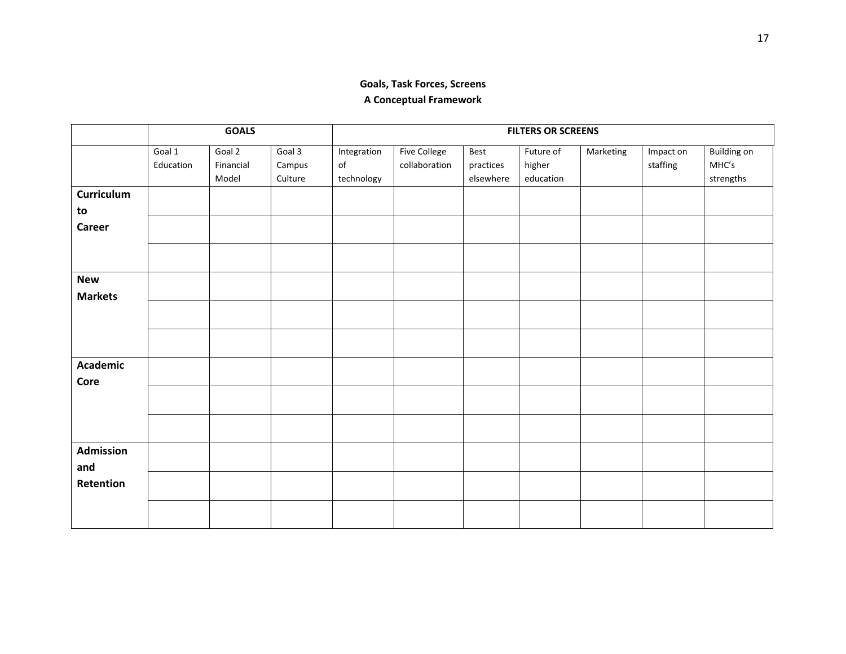# **Goals, Task Forces, Screens A Conceptual Framework**

|                         | <b>GOALS</b>        |                              |                             | <b>FILTERS OR SCREENS</b>       |                                      |                                |                                  |           |                       |                                          |
|-------------------------|---------------------|------------------------------|-----------------------------|---------------------------------|--------------------------------------|--------------------------------|----------------------------------|-----------|-----------------------|------------------------------------------|
|                         | Goal 1<br>Education | Goal 2<br>Financial<br>Model | Goal 3<br>Campus<br>Culture | Integration<br>of<br>technology | <b>Five College</b><br>collaboration | Best<br>practices<br>elsewhere | Future of<br>higher<br>education | Marketing | Impact on<br>staffing | <b>Building on</b><br>MHC's<br>strengths |
| Curriculum<br>to        |                     |                              |                             |                                 |                                      |                                |                                  |           |                       |                                          |
| <b>Career</b>           |                     |                              |                             |                                 |                                      |                                |                                  |           |                       |                                          |
| <b>New</b>              |                     |                              |                             |                                 |                                      |                                |                                  |           |                       |                                          |
| <b>Markets</b>          |                     |                              |                             |                                 |                                      |                                |                                  |           |                       |                                          |
|                         |                     |                              |                             |                                 |                                      |                                |                                  |           |                       |                                          |
| <b>Academic</b><br>Core |                     |                              |                             |                                 |                                      |                                |                                  |           |                       |                                          |
|                         |                     |                              |                             |                                 |                                      |                                |                                  |           |                       |                                          |
| Admission               |                     |                              |                             |                                 |                                      |                                |                                  |           |                       |                                          |
| and<br>Retention        |                     |                              |                             |                                 |                                      |                                |                                  |           |                       |                                          |
|                         |                     |                              |                             |                                 |                                      |                                |                                  |           |                       |                                          |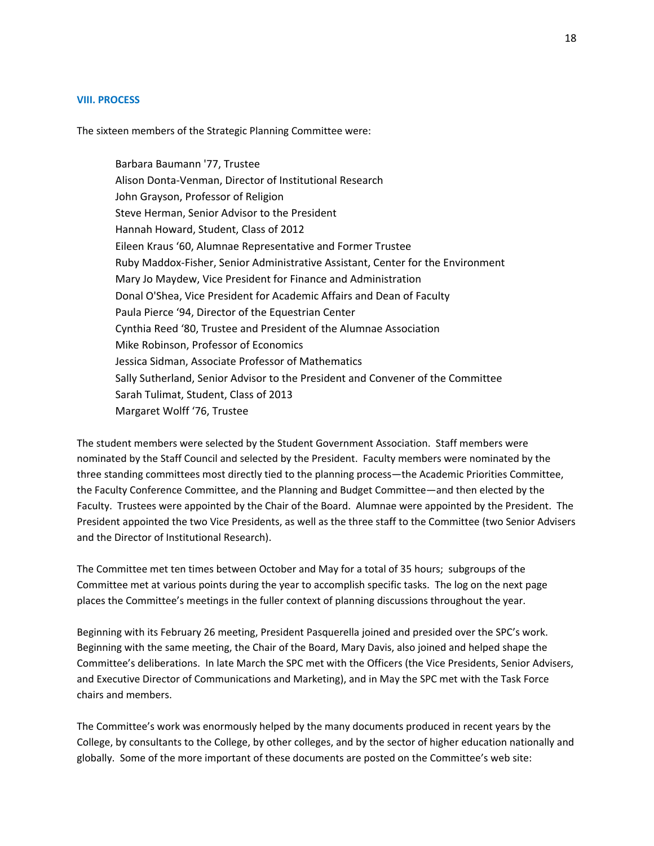## **VIII. PROCESS**

The sixteen members of the Strategic Planning Committee were:

Barbara Baumann '77, Trustee Alison Donta‐Venman, Director of Institutional Research John Grayson, Professor of Religion Steve Herman, Senior Advisor to the President Hannah Howard, Student, Class of 2012 Eileen Kraus '60, Alumnae Representative and Former Trustee Ruby Maddox‐Fisher, Senior Administrative Assistant, Center for the Environment Mary Jo Maydew, Vice President for Finance and Administration Donal O'Shea, Vice President for Academic Affairs and Dean of Faculty Paula Pierce '94, Director of the Equestrian Center Cynthia Reed '80, Trustee and President of the Alumnae Association Mike Robinson, Professor of Economics Jessica Sidman, Associate Professor of Mathematics Sally Sutherland, Senior Advisor to the President and Convener of the Committee Sarah Tulimat, Student, Class of 2013 Margaret Wolff '76, Trustee

The student members were selected by the Student Government Association. Staff members were nominated by the Staff Council and selected by the President. Faculty members were nominated by the three standing committees most directly tied to the planning process—the Academic Priorities Committee, the Faculty Conference Committee, and the Planning and Budget Committee—and then elected by the Faculty. Trustees were appointed by the Chair of the Board. Alumnae were appointed by the President. The President appointed the two Vice Presidents, as well as the three staff to the Committee (two Senior Advisers and the Director of Institutional Research).

The Committee met ten times between October and May for a total of 35 hours; subgroups of the Committee met at various points during the year to accomplish specific tasks. The log on the next page places the Committee's meetings in the fuller context of planning discussions throughout the year.

Beginning with its February 26 meeting, President Pasquerella joined and presided over the SPC's work. Beginning with the same meeting, the Chair of the Board, Mary Davis, also joined and helped shape the Committee's deliberations. In late March the SPC met with the Officers (the Vice Presidents, Senior Advisers, and Executive Director of Communications and Marketing), and in May the SPC met with the Task Force chairs and members.

The Committee's work was enormously helped by the many documents produced in recent years by the College, by consultants to the College, by other colleges, and by the sector of higher education nationally and globally. Some of the more important of these documents are posted on the Committee's web site: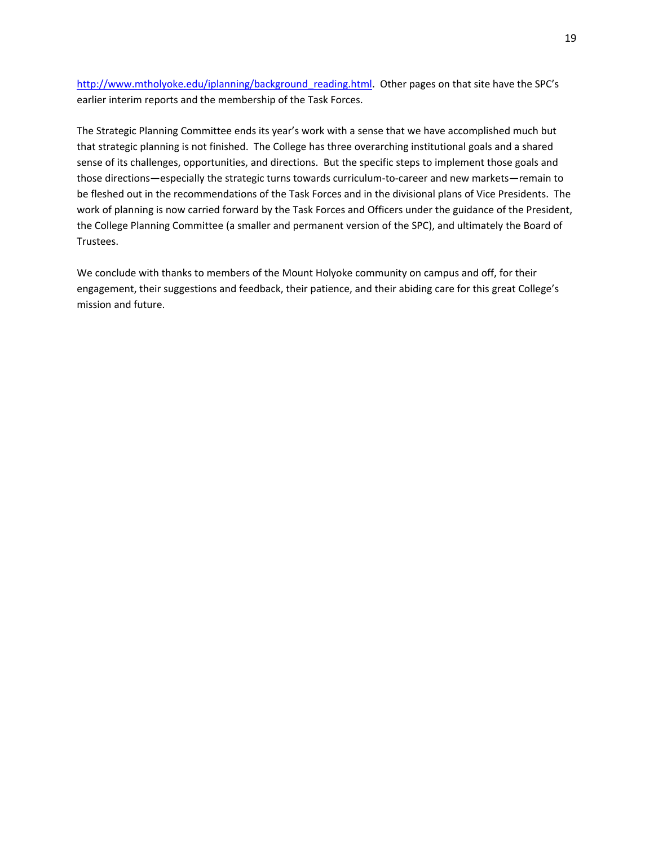http://www.mtholyoke.edu/iplanning/background reading.html. Other pages on that site have the SPC's earlier interim reports and the membership of the Task Forces.

The Strategic Planning Committee ends its year's work with a sense that we have accomplished much but that strategic planning is not finished. The College has three overarching institutional goals and a shared sense of its challenges, opportunities, and directions. But the specific steps to implement those goals and those directions—especially the strategic turns towards curriculum‐to‐career and new markets—remain to be fleshed out in the recommendations of the Task Forces and in the divisional plans of Vice Presidents. The work of planning is now carried forward by the Task Forces and Officers under the guidance of the President, the College Planning Committee (a smaller and permanent version of the SPC), and ultimately the Board of Trustees.

We conclude with thanks to members of the Mount Holyoke community on campus and off, for their engagement, their suggestions and feedback, their patience, and their abiding care for this great College's mission and future.